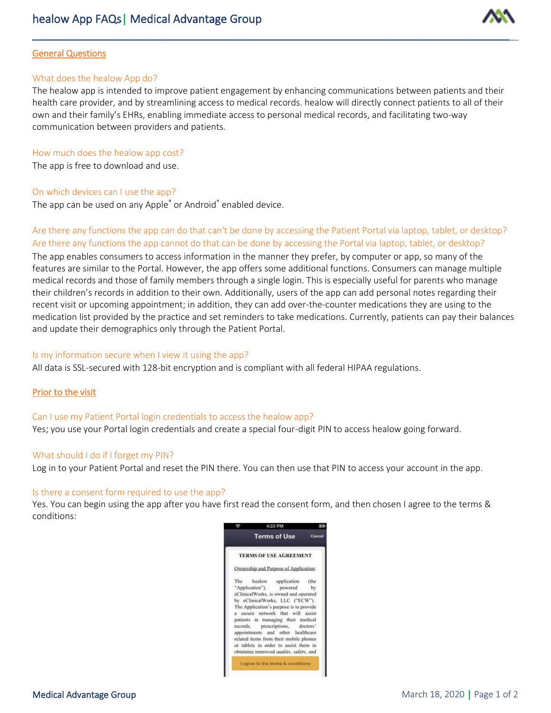

### General Questions

#### What does the healow App do?

The healow app is intended to improve patient engagement by enhancing communications between patients and their health care provider, and by streamlining access to medical records. healow will directly connect patients to all of their own and their family's EHRs, enabling immediate access to personal medical records, and facilitating two-way communication between providers and patients.

\_\_\_\_\_\_\_\_\_\_\_\_\_\_\_\_\_\_\_\_\_\_\_\_\_\_\_\_\_\_\_\_\_\_\_\_\_\_\_\_\_\_\_\_\_\_\_\_\_\_\_\_\_\_\_\_\_\_\_\_\_\_\_\_\_\_\_\_\_\_\_\_\_\_\_\_

### How much does the healow app cost?

The app is free to download and use.

### On which devices can I use the app?

The app can be used on any Apple<sup>®</sup> or Android<sup>®</sup> enabled device.

# Are there any functions the app can do that can't be done by accessing the Patient Portal via laptop, tablet, or desktop? Are there any functions the app cannot do that can be done by accessing the Portal via laptop, tablet, or desktop?

The app enables consumers to access information in the manner they prefer, by computer or app, so many of the features are similar to the Portal. However, the app offers some additional functions. Consumers can manage multiple medical records and those of family members through a single login. This is especially useful for parents who manage their children's records in addition to their own. Additionally, users of the app can add personal notes regarding their recent visit or upcoming appointment; in addition, they can add over-the-counter medications they are using to the medication list provided by the practice and set reminders to take medications. Currently, patients can pay their balances and update their demographics only through the Patient Portal.

## Is my information secure when I view it using the app?

All data is SSL-secured with 128-bit encryption and is compliant with all federal HIPAA regulations.

## Prior to the visit

#### Can I use my Patient Portal login credentials to access the healow app?

Yes; you use your Portal login credentials and create a special four-digit PIN to access healow going forward.

#### What should I do if I forget my PIN?

Log in to your Patient Portal and reset the PIN there. You can then use that PIN to access your account in the app.

#### Is there a consent form required to use the app?

Yes. You can begin using the app after you have first read the consent form, and then chosen I agree to the terms & conditions: